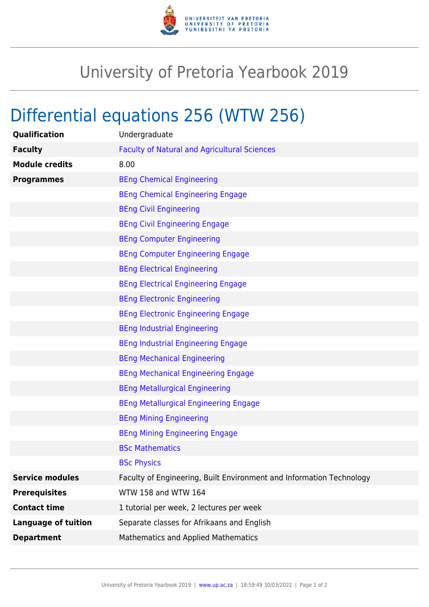

## University of Pretoria Yearbook 2019

## Differential equations 256 (WTW 256)

| Qualification              | Undergraduate                                                        |
|----------------------------|----------------------------------------------------------------------|
| <b>Faculty</b>             | <b>Faculty of Natural and Agricultural Sciences</b>                  |
| <b>Module credits</b>      | 8.00                                                                 |
| <b>Programmes</b>          | <b>BEng Chemical Engineering</b>                                     |
|                            | <b>BEng Chemical Engineering Engage</b>                              |
|                            | <b>BEng Civil Engineering</b>                                        |
|                            | <b>BEng Civil Engineering Engage</b>                                 |
|                            | <b>BEng Computer Engineering</b>                                     |
|                            | <b>BEng Computer Engineering Engage</b>                              |
|                            | <b>BEng Electrical Engineering</b>                                   |
|                            | <b>BEng Electrical Engineering Engage</b>                            |
|                            | <b>BEng Electronic Engineering</b>                                   |
|                            | <b>BEng Electronic Engineering Engage</b>                            |
|                            | <b>BEng Industrial Engineering</b>                                   |
|                            | <b>BEng Industrial Engineering Engage</b>                            |
|                            | <b>BEng Mechanical Engineering</b>                                   |
|                            | <b>BEng Mechanical Engineering Engage</b>                            |
|                            | <b>BEng Metallurgical Engineering</b>                                |
|                            | <b>BEng Metallurgical Engineering Engage</b>                         |
|                            | <b>BEng Mining Engineering</b>                                       |
|                            | <b>BEng Mining Engineering Engage</b>                                |
|                            | <b>BSc Mathematics</b>                                               |
|                            | <b>BSc Physics</b>                                                   |
| <b>Service modules</b>     | Faculty of Engineering, Built Environment and Information Technology |
| <b>Prerequisites</b>       | WTW 158 and WTW 164                                                  |
| <b>Contact time</b>        | 1 tutorial per week, 2 lectures per week                             |
| <b>Language of tuition</b> | Separate classes for Afrikaans and English                           |
| <b>Department</b>          | Mathematics and Applied Mathematics                                  |
|                            |                                                                      |